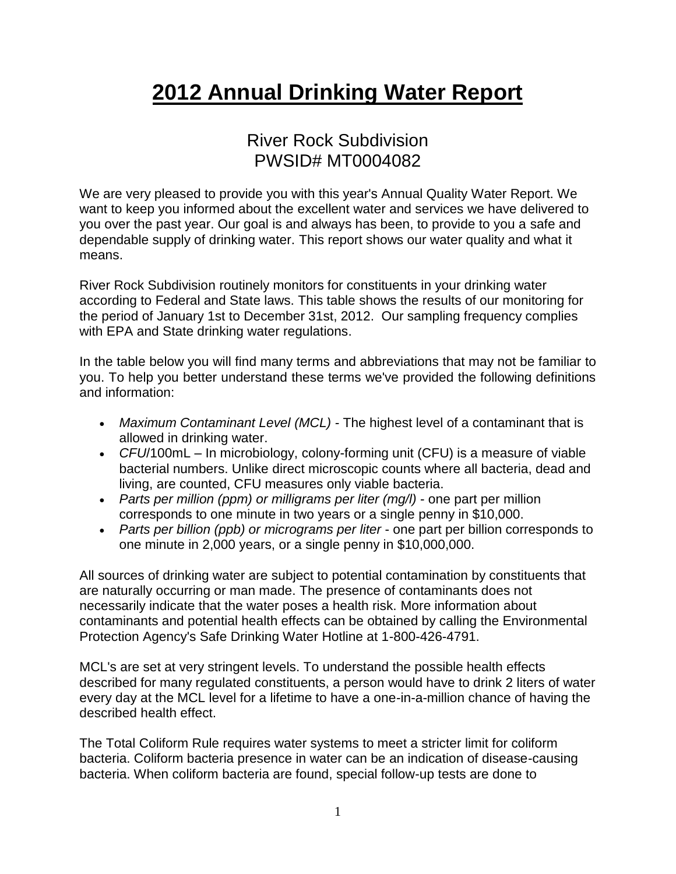## **2012 Annual Drinking Water Report**

## River Rock Subdivision PWSID# MT0004082

We are very pleased to provide you with this year's Annual Quality Water Report. We want to keep you informed about the excellent water and services we have delivered to you over the past year. Our goal is and always has been, to provide to you a safe and dependable supply of drinking water. This report shows our water quality and what it means.

River Rock Subdivision routinely monitors for constituents in your drinking water according to Federal and State laws. This table shows the results of our monitoring for the period of January 1st to December 31st, 2012. Our sampling frequency complies with EPA and State drinking water regulations.

In the table below you will find many terms and abbreviations that may not be familiar to you. To help you better understand these terms we've provided the following definitions and information:

- *Maximum Contaminant Level (MCL) -* The highest level of a contaminant that is allowed in drinking water.
- *CFU*/100mL In microbiology, colony-forming unit (CFU) is a measure of viable bacterial numbers. Unlike direct microscopic counts where all bacteria, dead and living, are counted, CFU measures only viable bacteria.
- *Parts per million (ppm) or milligrams per liter (mg/l)* one part per million corresponds to one minute in two years or a single penny in \$10,000.
- *Parts per billion (ppb) or micrograms per liter* one part per billion corresponds to one minute in 2,000 years, or a single penny in \$10,000,000.

All sources of drinking water are subject to potential contamination by constituents that are naturally occurring or man made. The presence of contaminants does not necessarily indicate that the water poses a health risk. More information about contaminants and potential health effects can be obtained by calling the Environmental Protection Agency's Safe Drinking Water Hotline at 1-800-426-4791.

MCL's are set at very stringent levels. To understand the possible health effects described for many regulated constituents, a person would have to drink 2 liters of water every day at the MCL level for a lifetime to have a one-in-a-million chance of having the described health effect.

The Total Coliform Rule requires water systems to meet a stricter limit for coliform bacteria. Coliform bacteria presence in water can be an indication of disease-causing bacteria. When coliform bacteria are found, special follow-up tests are done to